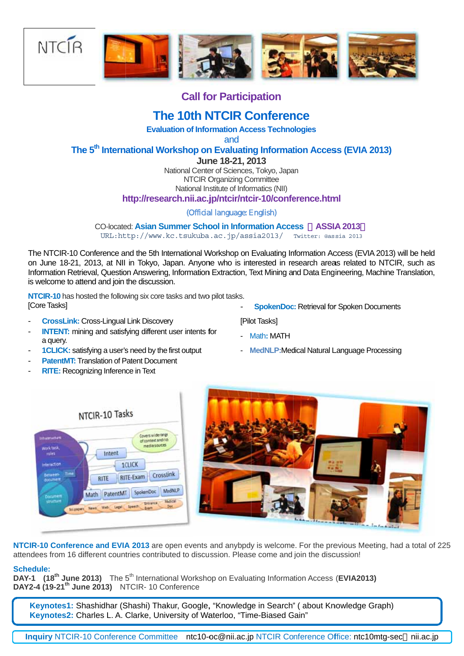

## **Call for Participation**

## **The 10th NTCIR Conference**

**Evaluation of Information Access Technologies** 

and

## The 5<sup>th</sup> International Workshop on Evaluating Information Access (EVIA 2013)

June 18-21, 2013

National Center of Sciences, Tokyo, Japan **NTCIR Organizing Committee** National Institute of Informatics (NII) http://research.nii.ac.jp/ntcir/ntcir-10/conference.html

(Official language: English)

**CO-located: Asian Summer School in Information Access ASSIA 2013** URL: http://www.kc.tsukuba.ac.jp/assia2013/ Twitter: @assia 2013

The NTCIR-10 Conference and the 5th International Workshop on Evaluating Information Access (EVIA 2013) will be held on June 18-21, 2013, at NII in Tokyo, Japan. Anyone who is interested in research areas related to NTCIR, such as Information Retrieval, Question Answering, Information Extraction, Text Mining and Data Engineering, Machine Translation, is welcome to attend and join the discussion.

NTCIR-10 has hosted the following six core tasks and two pilot tasks. [Core Tasks]

- **CrossLink: Cross-Lingual Link Discovery**
- **INTENT:** mining and satisfying different user intents for a query.
- **1CLICK:** satisfying a user's need by the first output
- **PatentMT: Translation of Patent Document**
- **RITE:** Recognizing Inference in Text

**SpokenDoc: Retrieval for Spoken Documents** 

[Pilot Tasks]

- Math: MATH
- MedNLP: Medical Natural Language Processing





NTCIR-10 Conference and EVIA 2013 are open events and anybpdy is welcome. For the previous Meeting, had a total of 225 attendees from 16 different countries contributed to discussion. Please come and join the discussion!

### Schedule:

DAY-1 (18<sup>th</sup> June 2013) The 5<sup>th</sup> International Workshop on Evaluating Information Access (EVIA2013) DAY2-4 (19-21<sup>th</sup> June 2013) NTCIR-10 Conference

Keynotes1: Shashidhar (Shashi) Thakur, Google, "Knowledge in Search" (about Knowledge Graph) Keynotes2: Charles L. A. Clarke, University of Waterloo, "Time-Biased Gain"

Inquiry NTCIR-10 Conference Committee ntc10-oc@nii.ac.jp NTCIR Conference Office: ntc10mtq-sec nii.ac.ip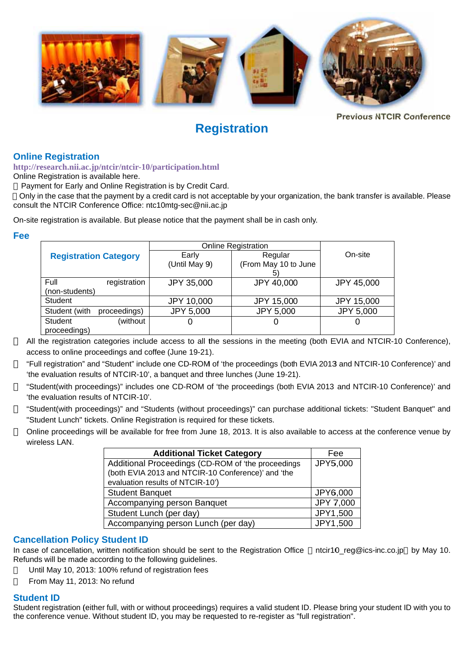

**Previous NTCIR Conference** 

# **Registration**

## **Online Registration**

http://research.nii.ac.jp/ntcir/ntcir-10/participation.html

Online Registration is available here.

Payment for Early and Online Registration is by Credit Card.

Only in the case that the payment by a credit card is not acceptable by your organization, the bank transfer is available. Please consult the NTCIR Conference Office: ntc10mtg-sec@nii.ac.ip

On-site registration is available. But please notice that the payment shall be in cash only.

## Fee

|                               |          | <b>Online Registration</b> |                      |                   |
|-------------------------------|----------|----------------------------|----------------------|-------------------|
| <b>Registration Category</b>  |          | Early                      | Regular              | On-site           |
|                               |          | (Until May 9)              | (From May 10 to June |                   |
|                               |          |                            | 5)                   |                   |
| Full<br>registration          |          | JPY 35,000                 | JPY 40,000           | JPY 45,000        |
| (non-students)                |          |                            |                      |                   |
| <b>Student</b>                |          | JPY 10,000                 | <b>JPY 15,000</b>    | <b>JPY 15,000</b> |
| Student (with<br>proceedings) |          | <b>JPY 5,000</b>           | JPY 5,000            | <b>JPY 5,000</b>  |
| <b>Student</b>                | (without | U                          | U                    |                   |
| proceedings)                  |          |                            |                      |                   |

All the registration categories include access to all the sessions in the meeting (both EVIA and NTCIR-10 Conference). access to online proceedings and coffee (June 19-21).

"Full registration" and "Student" include one CD-ROM of 'the proceedings (both EVIA 2013 and NTCIR-10 Conference)' and 'the evaluation results of NTCIR-10', a banquet and three lunches (June 19-21).

"Student(with proceedings)" includes one CD-ROM of 'the proceedings (both EVIA 2013 and NTCIR-10 Conference)' and 'the evaluation results of NTCIR-10'.

"Student(with proceedings)" and "Students (without proceedings)" can purchase additional tickets: "Student Banquet" and "Student Lunch" tickets. Online Registration is required for these tickets.

Online proceedings will be available for free from June 18, 2013. It is also available to access at the conference venue by wireless LAN

| <b>Additional Ticket Category</b>                                                                        | Fee       |
|----------------------------------------------------------------------------------------------------------|-----------|
| Additional Proceedings (CD-ROM of 'the proceedings<br>(both EVIA 2013 and NTCIR-10 Conference)' and 'the | JPY5,000  |
| evaluation results of NTCIR-10')                                                                         |           |
| <b>Student Banquet</b>                                                                                   | JPY6,000  |
| Accompanying person Banquet                                                                              | JPY 7,000 |
| Student Lunch (per day)                                                                                  | JPY1,500  |
| Accompanying person Lunch (per day)                                                                      | JPY1,500  |

## **Cancellation Policy Student ID**

In case of cancellation, written notification should be sent to the Registration Office ntcir10 reg@ics-inc.co.jp by May 10. Refunds will be made according to the following guidelines.

Until May 10, 2013: 100% refund of registration fees

From May 11, 2013: No refund

## **Student ID**

Student registration (either full, with or without proceedings) requires a valid student ID. Please bring your student ID with you to the conference venue. Without student ID, you may be requested to re-register as "full registration".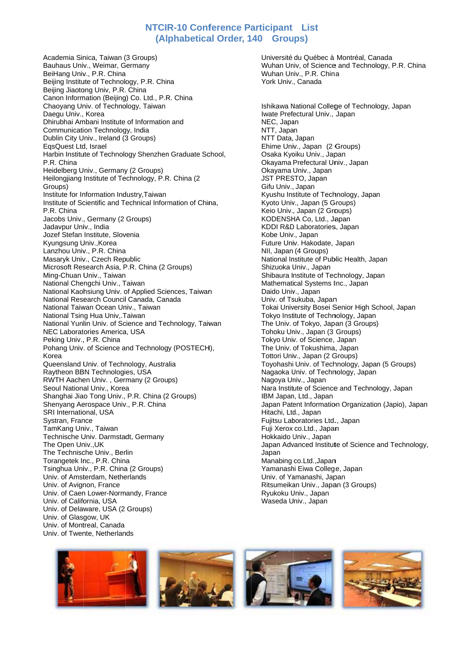## NTCIR-10 Conference Participant List (Alphabetical Order, 140 Groups)

Academia Sinica, Taiwan (3 Groups) Bauhaus Univ., Weimar, Germany BeiHang Univ., P.R. China Beijing Institute of Technology, P.R. China Beijing Jiaotong Univ, P.R. China Canon Information (Beijing) Co. Ltd., P.R. China Chaoyang Univ. of Technology, Taiwan Daegu Univ., Korea Dhirubhai Ambani Institute of Information and Communication Technology, India Dublin City Univ., Ireland (3 Groups) EqsQuest Ltd, Israel Harbin Institute of Technology Shenzhen Graduate School, P.R. China Heidelberg Univ., Germany (2 Groups) Heilongjiang Institute of Technology, P.R. China (2 Groups) Institute for Information Industry. Taiwan Institute of Scientific and Technical Information of China. P R China Jacobs Univ., Germany (2 Groups) Jadavpur Univ., India Jozef Stefan Institute, Slovenia Kyungsung Univ., Korea Lanzhou Univ., P.R. China Masaryk Univ., Czech Republic Microsoft Research Asia, P.R. China (2 Groups) Ming-Chuan Univ., Taiwan National Chengchi Univ., Taiwan National Kaohsiung Univ. of Applied Sciences, Taiwan National Research Council Canada, Canada National Taiwan Ocean Univ., Taiwan National Tsing Hua Univ, Taiwan National Yunlin Univ, of Science and Technology, Taiwan NEC Laboratories America, USA Peking Univ., P.R. China Pohang Univ. of Science and Technology (POSTECH), Korea Queensland Univ. of Technology, Australia Ravtheon BBN Technologies, USA RWTH Aachen Univ., Germany (2 Groups) Seoul National Univ., Korea Shanghai Jiao Tong Univ., P.R. China (2 Groups) Shenyang Aerospace Univ., P.R. China SRI International, USA Systran, France TamKang Univ., Taiwan Technische Univ. Darmstadt, Germany The Open Univ..UK The Technische Univ., Berlin Torangetek Inc., P.R. China Tsinghua Univ., P.R. China (2 Groups) Univ. of Amsterdam, Netherlands Univ. of Avignon, France Univ. of Caen Lower-Normandy, France Univ. of California. USA Univ. of Delaware, USA (2 Groups) Univ. of Glasgow, UK Univ. of Montreal, Canada Univ. of Twente, Netherlands

Université du Québec à Montréal, Canada Wuhan Univ, of Science and Technology, P.R. China Wuhan Univ., P.R. China York Univ., Canada

Ishikawa National College of Technology, Japan Iwate Prefectural Univ., Japan NEC, Japan NTT, Japan NTT Data, Japan Ehime Univ., Japan (2 Groups) Osaka Kyoiku Univ., Japan Okavama Prefectural Univ., Japan Okayama Univ., Japan JST PRESTO, Japan Gifu Univ., Japan Kvushu Institute of Technology, Japan Kyoto Univ., Japan (5 Groups) Keio Univ., Japan (2 Groups) KODENSHA Co, Ltd., Japan KDDI R&D Laboratories, Japan Kobe Univ., Japan Future Univ. Hakodate, Japan NII, Japan (4 Groups) National Institute of Public Health, Japan Shizuoka Univ., Japan Shibaura Institute of Technology, Japan Mathematical Systems Inc., Japan Daido Univ., Japan Univ. of Tsukuba, Japan Tokai University Bosei Senior High School, Japan Tokyo Institute of Technology, Japan The Univ. of Tokvo. Japan (3 Groups) Tohoku Univ., Japan (3 Groups) Tokyo Univ. of Science, Japan The Univ. of Tokushima, Japan Tottori Univ., Japan (2 Groups) Toyohashi Univ. of Technology, Japan (5 Groups) Nagaoka Univ. of Technology, Japan Nagoya Univ., Japan Nara Institute of Science and Technology, Japan IBM Japan, Ltd., Japan Japan Patent Information Organization (Japio), Japan Hitachi, Ltd., Japan Fujitsu Laboratories Ltd., Japan Fuji Xerox co.Ltd., Japan Hokkaido Univ., Japan Japan Advanced Institute of Science and Technology, Japan Manabing co.Ltd., Japan Yamanashi Eiwa College, Japan Univ. of Yamanashi, Japan Ritsumeikan Univ., Japan (3 Groups) Ryukoku Univ., Japan Waseda Univ., Japan